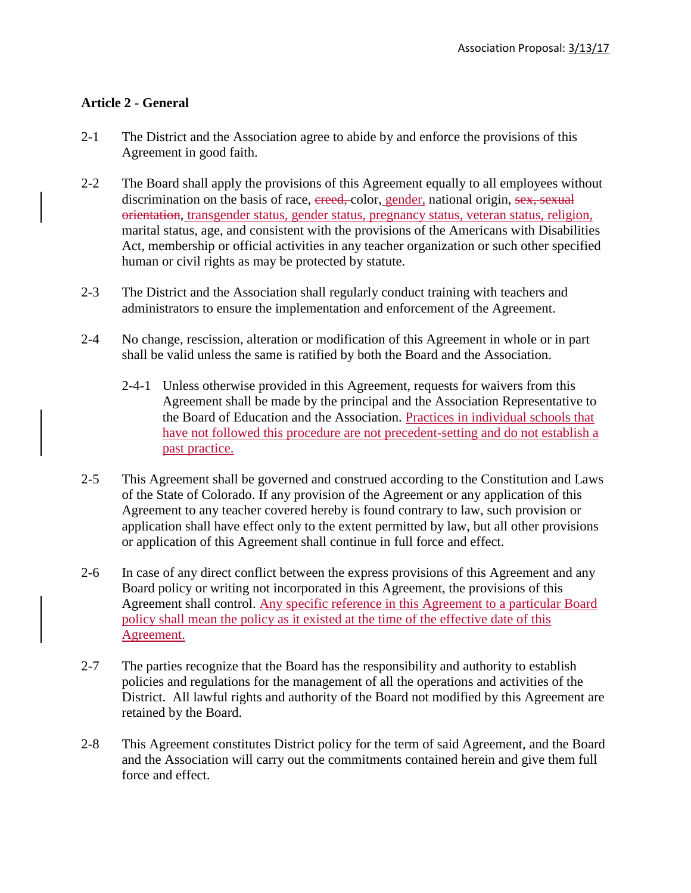## **Article 2 - General**

- 2-1 The District and the Association agree to abide by and enforce the provisions of this Agreement in good faith.
- 2-2 The Board shall apply the provisions of this Agreement equally to all employees without discrimination on the basis of race, ereed, color, gender, national origin, sex, sexual orientation, transgender status, gender status, pregnancy status, veteran status, religion, marital status, age, and consistent with the provisions of the Americans with Disabilities Act, membership or official activities in any teacher organization or such other specified human or civil rights as may be protected by statute.
- 2-3 The District and the Association shall regularly conduct training with teachers and administrators to ensure the implementation and enforcement of the Agreement.
- 2-4 No change, rescission, alteration or modification of this Agreement in whole or in part shall be valid unless the same is ratified by both the Board and the Association.
	- 2-4-1 Unless otherwise provided in this Agreement, requests for waivers from this Agreement shall be made by the principal and the Association Representative to the Board of Education and the Association. Practices in individual schools that have not followed this procedure are not precedent-setting and do not establish a past practice.
- 2-5 This Agreement shall be governed and construed according to the Constitution and Laws of the State of Colorado. If any provision of the Agreement or any application of this Agreement to any teacher covered hereby is found contrary to law, such provision or application shall have effect only to the extent permitted by law, but all other provisions or application of this Agreement shall continue in full force and effect.
- 2-6 In case of any direct conflict between the express provisions of this Agreement and any Board policy or writing not incorporated in this Agreement, the provisions of this Agreement shall control. Any specific reference in this Agreement to a particular Board policy shall mean the policy as it existed at the time of the effective date of this Agreement.
- 2-7 The parties recognize that the Board has the responsibility and authority to establish policies and regulations for the management of all the operations and activities of the District. All lawful rights and authority of the Board not modified by this Agreement are retained by the Board.
- 2-8 This Agreement constitutes District policy for the term of said Agreement, and the Board and the Association will carry out the commitments contained herein and give them full force and effect.